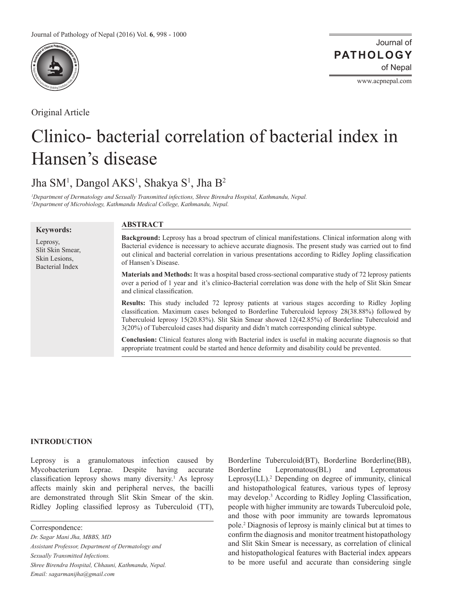

Original Article

Journal of of Nepal **PATHOLOGY**

www.acpnepal.com

# Clinico- bacterial correlation of bacterial index in Hansen's disease

Jha SM<sup>1</sup>, Dangol AKS<sup>1</sup>, Shakya S<sup>1</sup>, Jha B<sup>2</sup>

*1 Department of Dermatology and Sexually Transmitted infections, Shree Birendra Hospital, Kathmandu, Nepal. 2 Department of Microbiology, Kathmandu Medical College, Kathmandu, Nepal.*

| <b>Keywords:</b>       |  |
|------------------------|--|
| Leprosy,               |  |
| Slit Skin Smear,       |  |
| Skin Lesions.          |  |
| <b>Bacterial Index</b> |  |
|                        |  |

# **ABSTRACT**

**Background:** Leprosy has a broad spectrum of clinical manifestations. Clinical information along with Bacterial evidence is necessary to achieve accurate diagnosis. The present study was carried out to find out clinical and bacterial correlation in various presentations according to Ridley Jopling classification of Hansen's Disease.

**Materials and Methods:** It was a hospital based cross-sectional comparative study of 72 leprosy patients over a period of 1 year and it's clinico-Bacterial correlation was done with the help of Slit Skin Smear and clinical classification.

**Results:** This study included 72 leprosy patients at various stages according to Ridley Jopling classification. Maximum cases belonged to Borderline Tuberculoid leprosy 28(38.88%) followed by Tuberculoid leprosy 15(20.83%). Slit Skin Smear showed 12(42.85%) of Borderline Tuberculoid and 3(20%) of Tuberculoid cases had disparity and didn't match corresponding clinical subtype.

**Conclusion:** Clinical features along with Bacterial index is useful in making accurate diagnosis so that appropriate treatment could be started and hence deformity and disability could be prevented.

# **INTRODUCTION**

Leprosy is a granulomatous infection caused by Mycobacterium Leprae. Despite having accurate classification leprosy shows many diversity.<sup>1</sup> As leprosy affects mainly skin and peripheral nerves, the bacilli are demonstrated through Slit Skin Smear of the skin. Ridley Jopling classified leprosy as Tuberculoid (TT),

Correspondence:

*Dr. Sagar Mani Jha, MBBS, MD Assistant Professor, Department of Dermatology and Sexually Transmitted Infections. Shree Birendra Hospital, Chhauni, Kathmandu, Nepal. Email: sagarmanijha@gmail.com*

Borderline Tuberculoid(BT), Borderline Borderline(BB), Borderline Lepromatous(BL) and Lepromatous Leprosy(LL).<sup>2</sup> Depending on degree of immunity, clinical and histopathological features, various types of leprosy may develop.<sup>3</sup> According to Ridley Jopling Classification, people with higher immunity are towards Tuberculoid pole, and those with poor immunity are towards lepromatous pole.2 Diagnosis of leprosy is mainly clinical but at times to confirm the diagnosis and monitor treatment histopathology and Slit Skin Smear is necessary, as correlation of clinical and histopathological features with Bacterial index appears to be more useful and accurate than considering single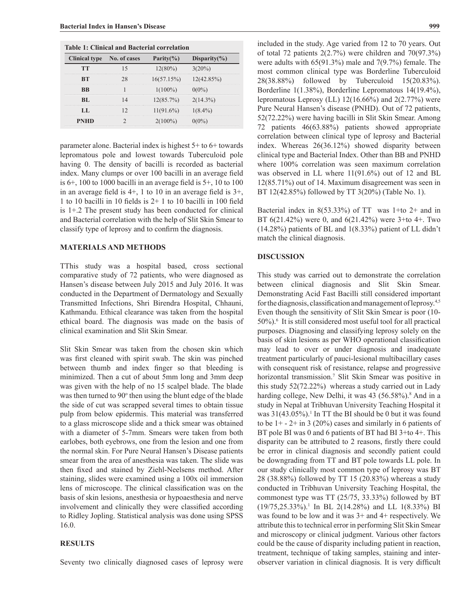| <b>Table 1: Clinical and Bacterial correlation</b> |  |                |                   |  |
|----------------------------------------------------|--|----------------|-------------------|--|
| Clinical type No. of cases                         |  | Parity $(\% )$ | Disparity $(\% )$ |  |
|                                                    |  |                | $20\%$            |  |
|                                                    |  | 16(57.15%)     |                   |  |
|                                                    |  | 100%           |                   |  |
|                                                    |  | 12(85.7%)      | $2(14.3\%)$       |  |
|                                                    |  | $11(91.6\%)$   | $1(8.4\%)$        |  |
|                                                    |  |                |                   |  |

parameter alone. Bacterial index is highest 5+ to 6+ towards lepromatous pole and lowest towards Tuberculoid pole having 0. The density of bacilli is recorded as bacterial index. Many clumps or over 100 bacilli in an average field is 6+, 100 to 1000 bacilli in an average field is 5+, 10 to 100 in an average field is 4+, 1 to 10 in an average field is 3+, 1 to 10 bacilli in 10 fields is 2+ 1 to 10 bacilli in 100 field is 1+.2 The present study has been conducted for clinical and Bacterial correlation with the help of Slit Skin Smear to classify type of leprosy and to confirm the diagnosis.

#### **MATERIALS AND METHODS**

TThis study was a hospital based, cross sectional comparative study of 72 patients, who were diagnosed as Hansen's disease between July 2015 and July 2016. It was conducted in the Department of Dermatology and Sexually Transmitted Infections, Shri Birendra Hospital, Chhauni, Kathmandu. Ethical clearance was taken from the hospital ethical board. The diagnosis was made on the basis of clinical examination and Slit Skin Smear.

Slit Skin Smear was taken from the chosen skin which was first cleaned with spirit swab. The skin was pinched between thumb and index finger so that bleeding is minimized. Then a cut of about 5mm long and 3mm deep was given with the help of no 15 scalpel blade. The blade was then turned to 90° then using the blunt edge of the blade the side of cut was scrapped several times to obtain tissue pulp from below epidermis. This material was transferred to a glass microscope slide and a thick smear was obtained with a diameter of 5-7mm. Smears were taken from both earlobes, both eyebrows, one from the lesion and one from the normal skin. For Pure Neural Hansen's Disease patients smear from the area of anesthesia was taken. The slide was then fixed and stained by Ziehl-Neelsens method. After staining, slides were examined using a 100x oil immersion lens of microscope. The clinical classification was on the basis of skin lesions, anesthesia or hypoaesthesia and nerve involvement and clinically they were classified according to Ridley Jopling. Statistical analysis was done using SPSS 16.0.

#### **RESULTS**

Seventy two clinically diagnosed cases of leprosy were

included in the study. Age varied from 12 to 70 years. Out of total 72 patients 2(2.7%) were children and 70(97.3%) were adults with 65(91.3%) male and 7(9.7%) female. The most common clinical type was Borderline Tuberculoid 28(38.88%) followed by Tuberculoid 15(20.83%). Borderline 1(1.38%), Borderline Lepromatous 14(19.4%), lepromatous Leprosy (LL)  $12(16.66\%)$  and  $2(2.77\%)$  were Pure Neural Hansen's disease (PNHD). Out of 72 patients, 52(72.22%) were having bacilli in Slit Skin Smear. Among 72 patients 46(63.88%) patients showed appropriate correlation between clinical type of leprosy and Bacterial index. Whereas 26(36.12%) showed disparity between clinical type and Bacterial Index. Other than BB and PNHD where 100% correlation was seen maximum correlation was observed in LL where 11(91.6%) out of 12 and BL 12(85.71%) out of 14. Maximum disagreement was seen in BT 12(42.85%) followed by TT 3(20%) (Table No. 1).

Bacterial index in  $8(53.33\%)$  of TT was 1+to 2+ and in BT 6(21.42%) were 0, and 6(21.42%) were 3+to 4+. Two (14.28%) patients of BL and 1(8.33%) patient of LL didn't match the clinical diagnosis.

## **DISCUSSION**

This study was carried out to demonstrate the correlation between clinical diagnosis and Slit Skin Smear. Demonstrating Acid Fast Bacilli still considered important for the diagnosis, classification and management of leprosy.4,5 Even though the sensitivity of Slit Skin Smear is poor (10- 50%).<sup>6</sup> It is still considered most useful tool for all practical purposes. Diagnosing and classifying leprosy solely on the basis of skin lesions as per WHO operational classification may lead to over or under diagnosis and inadequate treatment particularly of pauci-lesional multibacillary cases with consequent risk of resistance, relapse and progressive horizontal transmission.<sup>7</sup> Slit Skin Smear was positive in this study 52(72.22%) whereas a study carried out in Lady harding college, New Delhi, it was 43 (56.58%).<sup>8</sup> And in a study in Nepal at Tribhuvan University Teaching Hospital it was  $31(43.05\%)$ <sup>1</sup>. In TT the BI should be 0 but it was found to be  $1+ - 2+$  in 3 (20%) cases and similarly in 6 patients of BT pole BI was 0 and 6 patients of BT had BI 3+to 4+. This disparity can be attributed to 2 reasons, firstly there could be error in clinical diagnosis and secondly patient could be downgrading from TT and BT pole towards LL pole. In our study clinically most common type of leprosy was BT 28 (38.88%) followed by TT 15 (20.83%) whereas a study conducted in Tribhuvan University Teaching Hospital, the commonest type was TT (25/75, 33.33%) followed by BT  $(19/75, 25.33\%)$ <sup>1</sup> In BL 2(14.28%) and LL 1(8.33%) BI was found to be low and it was 3+ and 4+ respectively. We attribute this to technical error in performing Slit Skin Smear and microscopy or clinical judgment. Various other factors could be the cause of disparity including patient in reaction, treatment, technique of taking samples, staining and interobserver variation in clinical diagnosis. It is very difficult